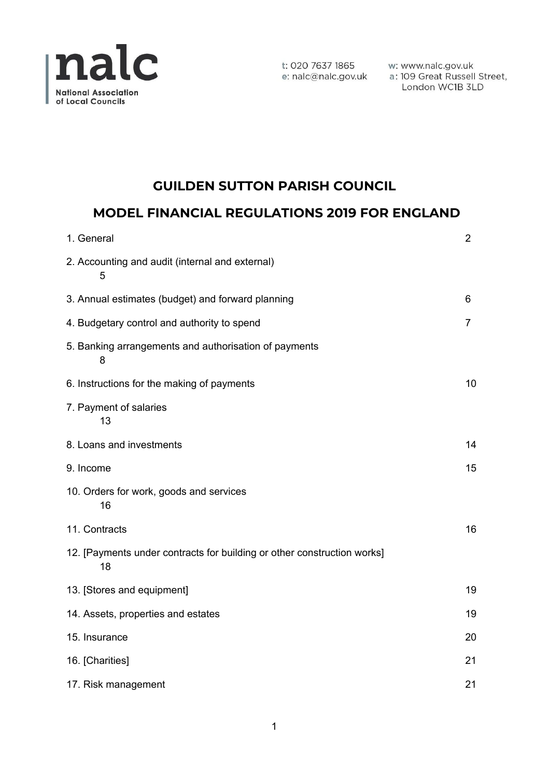

w: www.nalc.gov.uk a: 109 Great Russell Street, London WC1B 3LD

# **GUILDEN SUTTON PARISH COUNCIL**

# **MODEL FINANCIAL REGULATIONS 2019 FOR ENGLAND**

| 1. General                                                                    | $\overline{2}$ |
|-------------------------------------------------------------------------------|----------------|
| 2. Accounting and audit (internal and external)<br>5                          |                |
| 3. Annual estimates (budget) and forward planning                             | 6              |
| 4. Budgetary control and authority to spend                                   | 7              |
| 5. Banking arrangements and authorisation of payments<br>8                    |                |
| 6. Instructions for the making of payments                                    | 10             |
| 7. Payment of salaries<br>13                                                  |                |
| 8. Loans and investments                                                      | 14             |
| 9. Income                                                                     | 15             |
| 10. Orders for work, goods and services<br>16                                 |                |
| 11. Contracts                                                                 | 16             |
| 12. [Payments under contracts for building or other construction works]<br>18 |                |
| 13. [Stores and equipment]                                                    | 19             |
| 14. Assets, properties and estates                                            | 19             |
| 15. Insurance                                                                 | 20             |
| 16. [Charities]                                                               | 21             |
| 17. Risk management                                                           | 21             |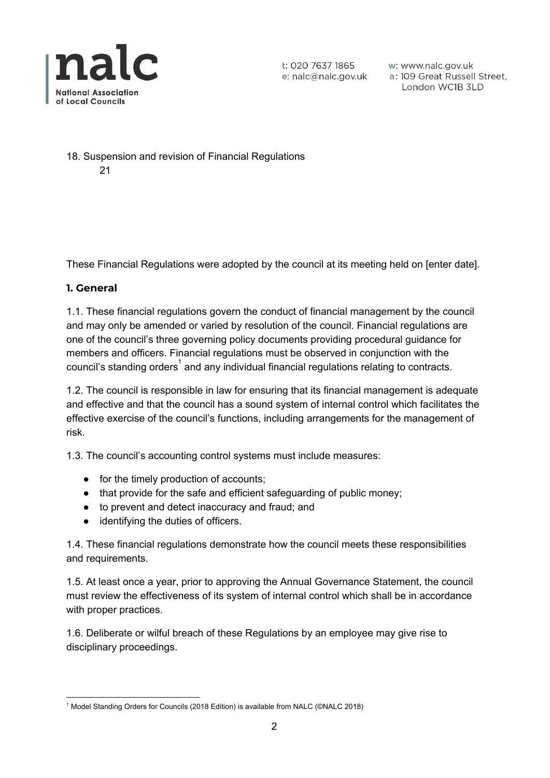

w: www.nalc.gov.uk a: 109 Great Russell Street, London WC1B 3LD

18. Suspension and revision of Financial Regulations

21

These Financial Regulations were adopted by the council at its meeting held on [enter date].

## **1. General**

1.1. These financial regulations govern the conduct of financial management by the council and may only be amended or varied by resolution of the council. Financial regulations are one of the council's three governing policy documents providing procedural guidance for members and officers. Financial regulations must be observed in conjunction with the council's standing orders<sup>1</sup> and any individual financial regulations relating to contracts.

1.2. The council is responsible in law for ensuring that its financial management is adequate and effective and that the council has a sound system of internal control which facilitates the effective exercise of the council's functions, including arrangements for the management of risk.

1.3. The council's accounting control systems must include measures:

- for the timely production of accounts;
- that provide for the safe and efficient safeguarding of public money;
- to prevent and detect inaccuracy and fraud; and
- identifying the duties of officers.

1.4. These financial regulations demonstrate how the council meets these responsibilities and requirements.

1.5. At least once a year, prior to approving the Annual Governance Statement, the council must review the effectiveness of its system of internal control which shall be in accordance with proper practices.

1.6. Deliberate or wilful breach of these Regulations by an employee may give rise to disciplinary proceedings.

<sup>&</sup>lt;sup>1</sup> Model Standing Orders for Councils (2018 Edition) is available from NALC (©NALC 2018)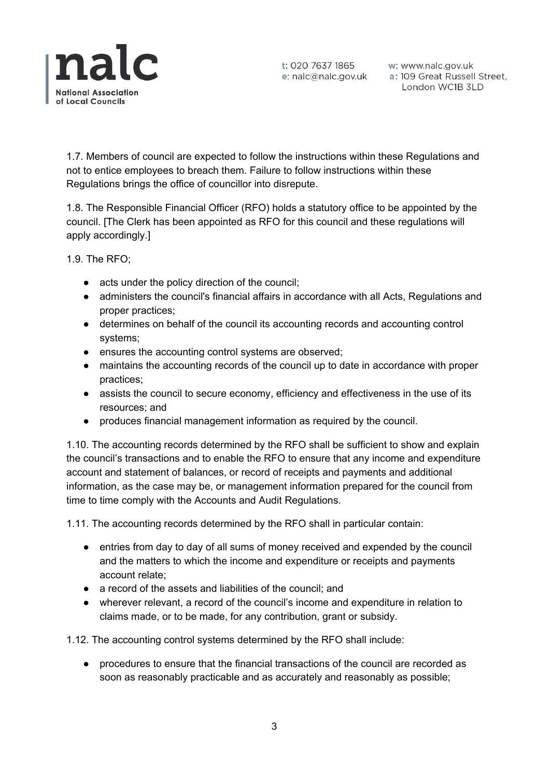

w: www.nalc.gov.uk a: 109 Great Russell Street, London WC1B 3LD

1.7. Members of council are expected to follow the instructions within these Regulations and not to entice employees to breach them. Failure to follow instructions within these Regulations brings the office of councillor into disrepute.

1.8. The Responsible Financial Officer (RFO) holds a statutory office to be appointed by the council. [The Clerk has been appointed as RFO for this council and these regulations will apply accordingly.]

1.9. The RFO;

- acts under the policy direction of the council;
- administers the council's financial affairs in accordance with all Acts, Regulations and proper practices;
- determines on behalf of the council its accounting records and accounting control systems;
- ensures the accounting control systems are observed;
- maintains the accounting records of the council up to date in accordance with proper practices;
- assists the council to secure economy, efficiency and effectiveness in the use of its resources; and
- produces financial management information as required by the council.

1.10. The accounting records determined by the RFO shall be sufficient to show and explain the council's transactions and to enable the RFO to ensure that any income and expenditure account and statement of balances, or record of receipts and payments and additional information, as the case may be, or management information prepared for the council from time to time comply with the Accounts and Audit Regulations.

1.11. The accounting records determined by the RFO shall in particular contain:

- entries from day to day of all sums of money received and expended by the council and the matters to which the income and expenditure or receipts and payments account relate;
- a record of the assets and liabilities of the council; and
- wherever relevant, a record of the council's income and expenditure in relation to claims made, or to be made, for any contribution, grant or subsidy.

1.12. The accounting control systems determined by the RFO shall include:

procedures to ensure that the financial transactions of the council are recorded as soon as reasonably practicable and as accurately and reasonably as possible;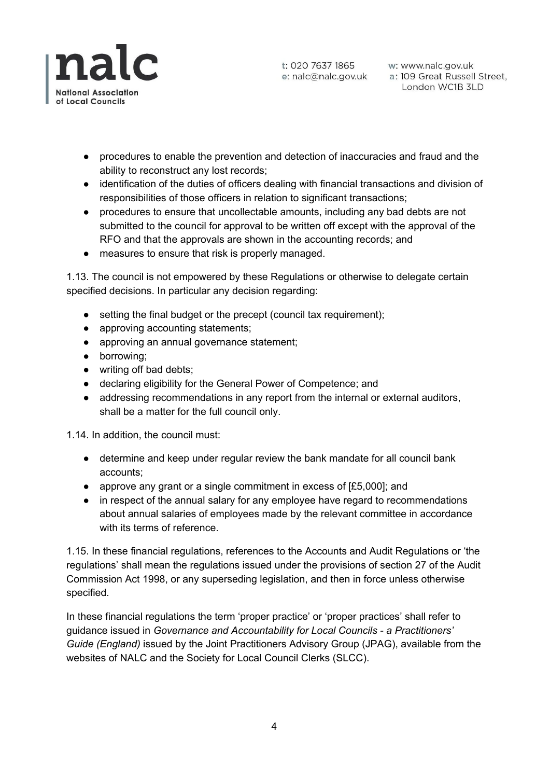

t: 020 7637 1865 w: www.nalc.gov.uk<br>e: nalc@nalc.gov.uk a: 109 Great Russell Street, London WC1B 3LD

- procedures to enable the prevention and detection of inaccuracies and fraud and the ability to reconstruct any lost records;
- identification of the duties of officers dealing with financial transactions and division of responsibilities of those officers in relation to significant transactions;
- procedures to ensure that uncollectable amounts, including any bad debts are not submitted to the council for approval to be written off except with the approval of the RFO and that the approvals are shown in the accounting records; and
- measures to ensure that risk is properly managed.

1.13. The council is not empowered by these Regulations or otherwise to delegate certain specified decisions. In particular any decision regarding:

- setting the final budget or the precept (council tax requirement);
- approving accounting statements;
- approving an annual governance statement;
- borrowing;
- writing off bad debts;
- declaring eligibility for the General Power of Competence; and
- addressing recommendations in any report from the internal or external auditors, shall be a matter for the full council only.

1.14. In addition, the council must:

- determine and keep under regular review the bank mandate for all council bank accounts;
- approve any grant or a single commitment in excess of [£5,000]; and
- in respect of the annual salary for any employee have regard to recommendations about annual salaries of employees made by the relevant committee in accordance with its terms of reference.

1.15. In these financial regulations, references to the Accounts and Audit Regulations or 'the regulations' shall mean the regulations issued under the provisions of section 27 of the Audit Commission Act 1998, or any superseding legislation, and then in force unless otherwise specified.

In these financial regulations the term 'proper practice' or 'proper practices' shall refer to guidance issued in *Governance and Accountability for Local Councils - a Practitioners' Guide (England)* issued by the Joint Practitioners Advisory Group (JPAG), available from the websites of NALC and the Society for Local Council Clerks (SLCC).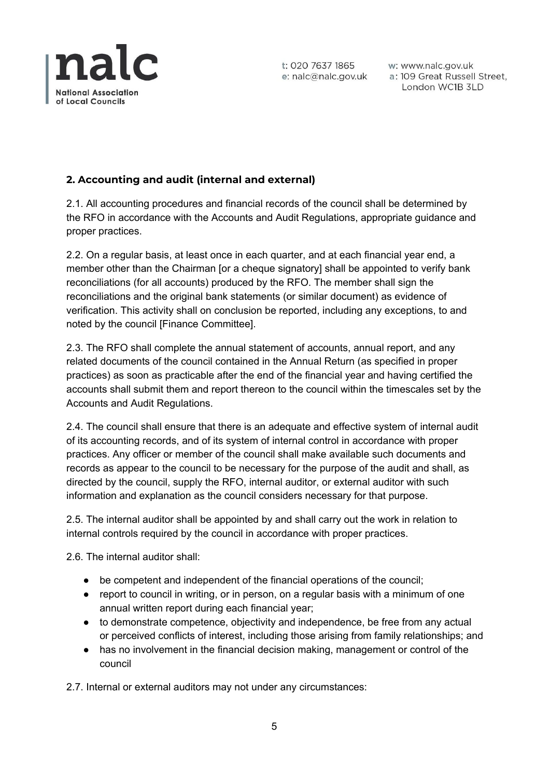

w: www.nalc.gov.uk a: 109 Great Russell Street, London WC1B 3LD

# **2. Accounting and audit (internal and external)**

2.1. All accounting procedures and financial records of the council shall be determined by the RFO in accordance with the Accounts and Audit Regulations, appropriate guidance and proper practices.

2.2. On a regular basis, at least once in each quarter, and at each financial year end, a member other than the Chairman [or a cheque signatory] shall be appointed to verify bank reconciliations (for all accounts) produced by the RFO. The member shall sign the reconciliations and the original bank statements (or similar document) as evidence of verification. This activity shall on conclusion be reported, including any exceptions, to and noted by the council [Finance Committee].

2.3. The RFO shall complete the annual statement of accounts, annual report, and any related documents of the council contained in the Annual Return (as specified in proper practices) as soon as practicable after the end of the financial year and having certified the accounts shall submit them and report thereon to the council within the timescales set by the Accounts and Audit Regulations.

2.4. The council shall ensure that there is an adequate and effective system of internal audit of its accounting records, and of its system of internal control in accordance with proper practices. Any officer or member of the council shall make available such documents and records as appear to the council to be necessary for the purpose of the audit and shall, as directed by the council, supply the RFO, internal auditor, or external auditor with such information and explanation as the council considers necessary for that purpose.

2.5. The internal auditor shall be appointed by and shall carry out the work in relation to internal controls required by the council in accordance with proper practices.

2.6. The internal auditor shall:

- be competent and independent of the financial operations of the council;
- report to council in writing, or in person, on a regular basis with a minimum of one annual written report during each financial year;
- to demonstrate competence, objectivity and independence, be free from any actual or perceived conflicts of interest, including those arising from family relationships; and
- has no involvement in the financial decision making, management or control of the council

2.7. Internal or external auditors may not under any circumstances: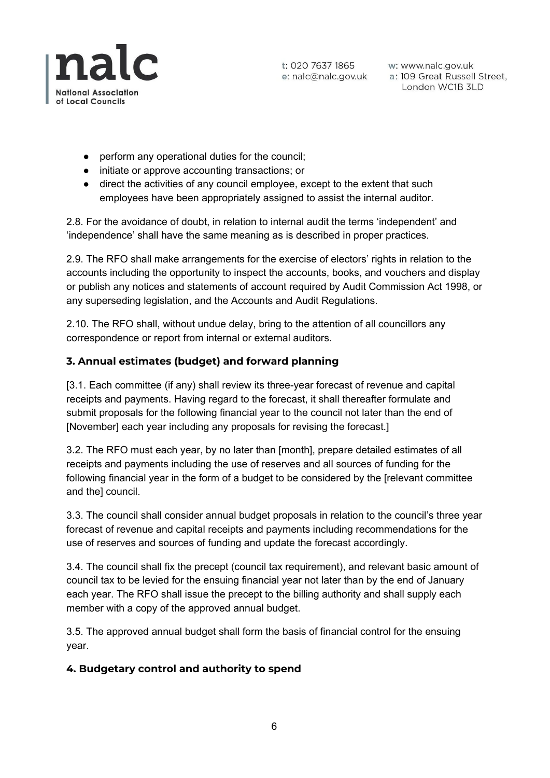

w: www.nalc.gov.uk a: 109 Great Russell Street, London WC1B 3LD

- perform any operational duties for the council;
- initiate or approve accounting transactions; or
- direct the activities of any council employee, except to the extent that such employees have been appropriately assigned to assist the internal auditor.

2.8. For the avoidance of doubt, in relation to internal audit the terms 'independent' and 'independence' shall have the same meaning as is described in proper practices.

2.9. The RFO shall make arrangements for the exercise of electors' rights in relation to the accounts including the opportunity to inspect the accounts, books, and vouchers and display or publish any notices and statements of account required by Audit Commission Act 1998, or any superseding legislation, and the Accounts and Audit Regulations.

2.10. The RFO shall, without undue delay, bring to the attention of all councillors any correspondence or report from internal or external auditors.

## **3. Annual estimates (budget) and forward planning**

[3.1. Each committee (if any) shall review its three-year forecast of revenue and capital receipts and payments. Having regard to the forecast, it shall thereafter formulate and submit proposals for the following financial year to the council not later than the end of [November] each year including any proposals for revising the forecast.]

3.2. The RFO must each year, by no later than [month], prepare detailed estimates of all receipts and payments including the use of reserves and all sources of funding for the following financial year in the form of a budget to be considered by the [relevant committee and the] council.

3.3. The council shall consider annual budget proposals in relation to the council's three year forecast of revenue and capital receipts and payments including recommendations for the use of reserves and sources of funding and update the forecast accordingly.

3.4. The council shall fix the precept (council tax requirement), and relevant basic amount of council tax to be levied for the ensuing financial year not later than by the end of January each year. The RFO shall issue the precept to the billing authority and shall supply each member with a copy of the approved annual budget.

3.5. The approved annual budget shall form the basis of financial control for the ensuing year.

#### **4. Budgetary control and authority to spend**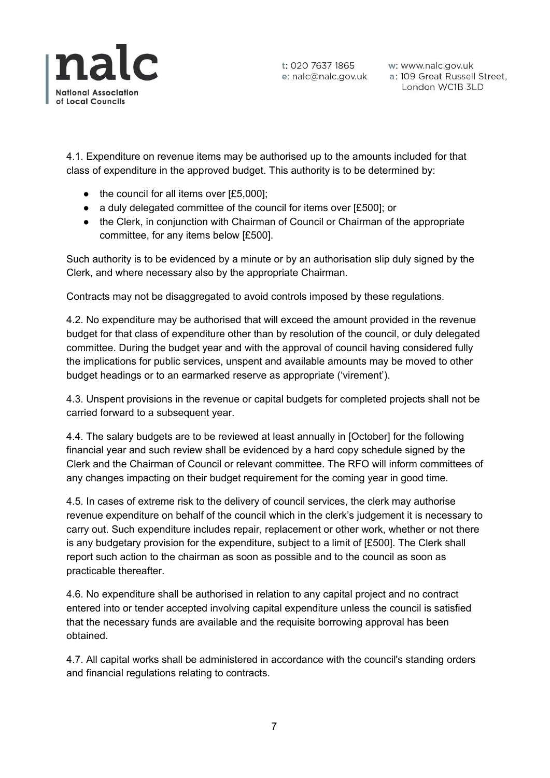

w: www.nalc.gov.uk a: 109 Great Russell Street, London WC1B 3LD

4.1. Expenditure on revenue items may be authorised up to the amounts included for that class of expenditure in the approved budget. This authority is to be determined by:

- the council for all items over [£5,000];
- a duly delegated committee of the council for items over [£500]; or
- the Clerk, in conjunction with Chairman of Council or Chairman of the appropriate committee, for any items below [£500].

Such authority is to be evidenced by a minute or by an authorisation slip duly signed by the Clerk, and where necessary also by the appropriate Chairman.

Contracts may not be disaggregated to avoid controls imposed by these regulations.

4.2. No expenditure may be authorised that will exceed the amount provided in the revenue budget for that class of expenditure other than by resolution of the council, or duly delegated committee. During the budget year and with the approval of council having considered fully the implications for public services, unspent and available amounts may be moved to other budget headings or to an earmarked reserve as appropriate ('virement').

4.3. Unspent provisions in the revenue or capital budgets for completed projects shall not be carried forward to a subsequent year.

4.4. The salary budgets are to be reviewed at least annually in [October] for the following financial year and such review shall be evidenced by a hard copy schedule signed by the Clerk and the Chairman of Council or relevant committee. The RFO will inform committees of any changes impacting on their budget requirement for the coming year in good time.

4.5. In cases of extreme risk to the delivery of council services, the clerk may authorise revenue expenditure on behalf of the council which in the clerk's judgement it is necessary to carry out. Such expenditure includes repair, replacement or other work, whether or not there is any budgetary provision for the expenditure, subject to a limit of [£500]. The Clerk shall report such action to the chairman as soon as possible and to the council as soon as practicable thereafter.

4.6. No expenditure shall be authorised in relation to any capital project and no contract entered into or tender accepted involving capital expenditure unless the council is satisfied that the necessary funds are available and the requisite borrowing approval has been obtained.

4.7. All capital works shall be administered in accordance with the council's standing orders and financial regulations relating to contracts.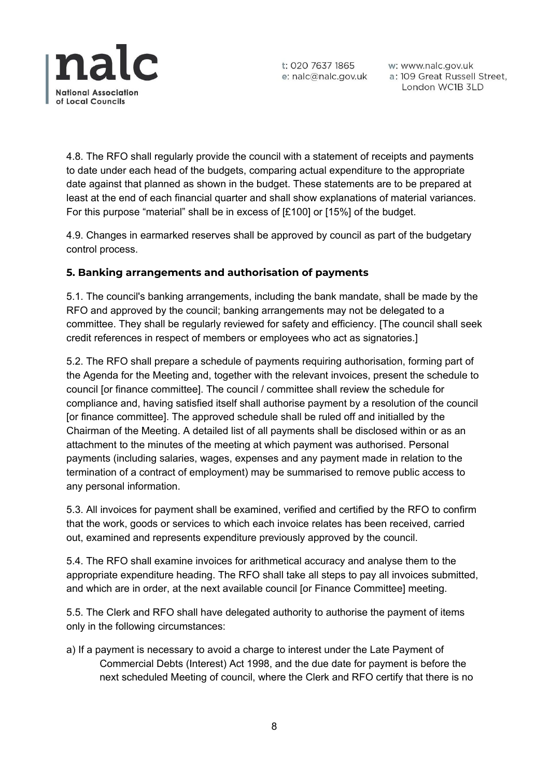

w: www.nalc.gov.uk a: 109 Great Russell Street, London WC1B 3LD

4.8. The RFO shall regularly provide the council with a statement of receipts and payments to date under each head of the budgets, comparing actual expenditure to the appropriate date against that planned as shown in the budget. These statements are to be prepared at least at the end of each financial quarter and shall show explanations of material variances. For this purpose "material" shall be in excess of [£100] or [15%] of the budget.

4.9. Changes in earmarked reserves shall be approved by council as part of the budgetary control process.

## **5. Banking arrangements and authorisation of payments**

5.1. The council's banking arrangements, including the bank mandate, shall be made by the RFO and approved by the council; banking arrangements may not be delegated to a committee. They shall be regularly reviewed for safety and efficiency. [The council shall seek credit references in respect of members or employees who act as signatories.]

5.2. The RFO shall prepare a schedule of payments requiring authorisation, forming part of the Agenda for the Meeting and, together with the relevant invoices, present the schedule to council [or finance committee]. The council / committee shall review the schedule for compliance and, having satisfied itself shall authorise payment by a resolution of the council [or finance committee]. The approved schedule shall be ruled off and initialled by the Chairman of the Meeting. A detailed list of all payments shall be disclosed within or as an attachment to the minutes of the meeting at which payment was authorised. Personal payments (including salaries, wages, expenses and any payment made in relation to the termination of a contract of employment) may be summarised to remove public access to any personal information.

5.3. All invoices for payment shall be examined, verified and certified by the RFO to confirm that the work, goods or services to which each invoice relates has been received, carried out, examined and represents expenditure previously approved by the council.

5.4. The RFO shall examine invoices for arithmetical accuracy and analyse them to the appropriate expenditure heading. The RFO shall take all steps to pay all invoices submitted, and which are in order, at the next available council [or Finance Committee] meeting.

5.5. The Clerk and RFO shall have delegated authority to authorise the payment of items only in the following circumstances:

a) If a payment is necessary to avoid a charge to interest under the Late Payment of Commercial Debts (Interest) Act 1998, and the due date for payment is before the next scheduled Meeting of council, where the Clerk and RFO certify that there is no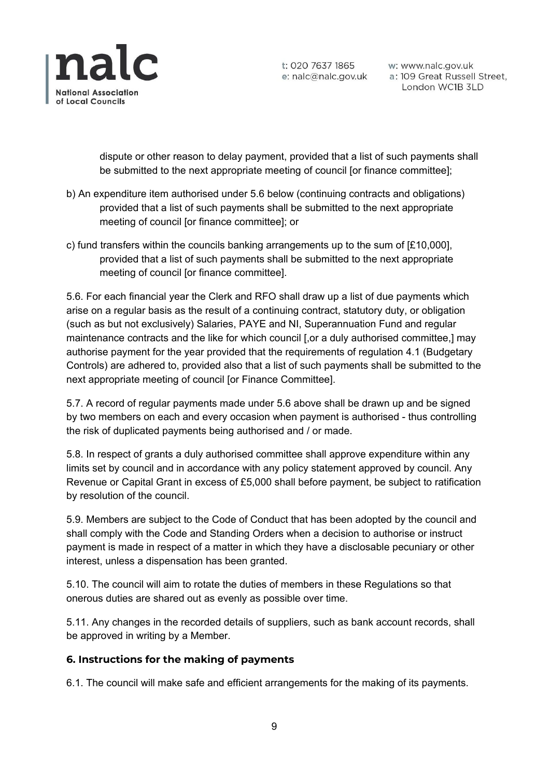

w: www.nalc.gov.uk a: 109 Great Russell Street, London WC1B 3LD

dispute or other reason to delay payment, provided that a list of such payments shall be submitted to the next appropriate meeting of council [or finance committee];

- b) An expenditure item authorised under 5.6 below (continuing contracts and obligations) provided that a list of such payments shall be submitted to the next appropriate meeting of council [or finance committee]; or
- c) fund transfers within the councils banking arrangements up to the sum of [£10,000], provided that a list of such payments shall be submitted to the next appropriate meeting of council [or finance committee].

5.6. For each financial year the Clerk and RFO shall draw up a list of due payments which arise on a regular basis as the result of a continuing contract, statutory duty, or obligation (such as but not exclusively) Salaries, PAYE and NI, Superannuation Fund and regular maintenance contracts and the like for which council [,or a duly authorised committee,] may authorise payment for the year provided that the requirements of regulation 4.1 (Budgetary Controls) are adhered to, provided also that a list of such payments shall be submitted to the next appropriate meeting of council [or Finance Committee].

5.7. A record of regular payments made under 5.6 above shall be drawn up and be signed by two members on each and every occasion when payment is authorised - thus controlling the risk of duplicated payments being authorised and / or made.

5.8. In respect of grants a duly authorised committee shall approve expenditure within any limits set by council and in accordance with any policy statement approved by council. Any Revenue or Capital Grant in excess of £5,000 shall before payment, be subject to ratification by resolution of the council.

5.9. Members are subject to the Code of Conduct that has been adopted by the council and shall comply with the Code and Standing Orders when a decision to authorise or instruct payment is made in respect of a matter in which they have a disclosable pecuniary or other interest, unless a dispensation has been granted.

5.10. The council will aim to rotate the duties of members in these Regulations so that onerous duties are shared out as evenly as possible over time.

5.11. Any changes in the recorded details of suppliers, such as bank account records, shall be approved in writing by a Member.

#### **6. Instructions for the making of payments**

6.1. The council will make safe and efficient arrangements for the making of its payments.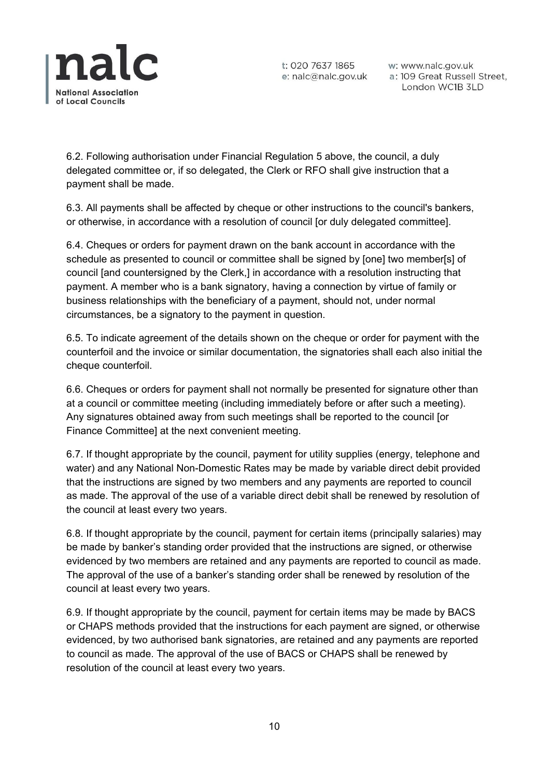

w: www.nalc.gov.uk a: 109 Great Russell Street, London WC1B 3LD

6.2. Following authorisation under Financial Regulation 5 above, the council, a duly delegated committee or, if so delegated, the Clerk or RFO shall give instruction that a payment shall be made.

6.3. All payments shall be affected by cheque or other instructions to the council's bankers, or otherwise, in accordance with a resolution of council [or duly delegated committee].

6.4. Cheques or orders for payment drawn on the bank account in accordance with the schedule as presented to council or committee shall be signed by [one] two member[s] of council [and countersigned by the Clerk,] in accordance with a resolution instructing that payment. A member who is a bank signatory, having a connection by virtue of family or business relationships with the beneficiary of a payment, should not, under normal circumstances, be a signatory to the payment in question.

6.5. To indicate agreement of the details shown on the cheque or order for payment with the counterfoil and the invoice or similar documentation, the signatories shall each also initial the cheque counterfoil.

6.6. Cheques or orders for payment shall not normally be presented for signature other than at a council or committee meeting (including immediately before or after such a meeting). Any signatures obtained away from such meetings shall be reported to the council [or Finance Committee] at the next convenient meeting.

6.7. If thought appropriate by the council, payment for utility supplies (energy, telephone and water) and any National Non-Domestic Rates may be made by variable direct debit provided that the instructions are signed by two members and any payments are reported to council as made. The approval of the use of a variable direct debit shall be renewed by resolution of the council at least every two years.

6.8. If thought appropriate by the council, payment for certain items (principally salaries) may be made by banker's standing order provided that the instructions are signed, or otherwise evidenced by two members are retained and any payments are reported to council as made. The approval of the use of a banker's standing order shall be renewed by resolution of the council at least every two years.

6.9. If thought appropriate by the council, payment for certain items may be made by BACS or CHAPS methods provided that the instructions for each payment are signed, or otherwise evidenced, by two authorised bank signatories, are retained and any payments are reported to council as made. The approval of the use of BACS or CHAPS shall be renewed by resolution of the council at least every two years.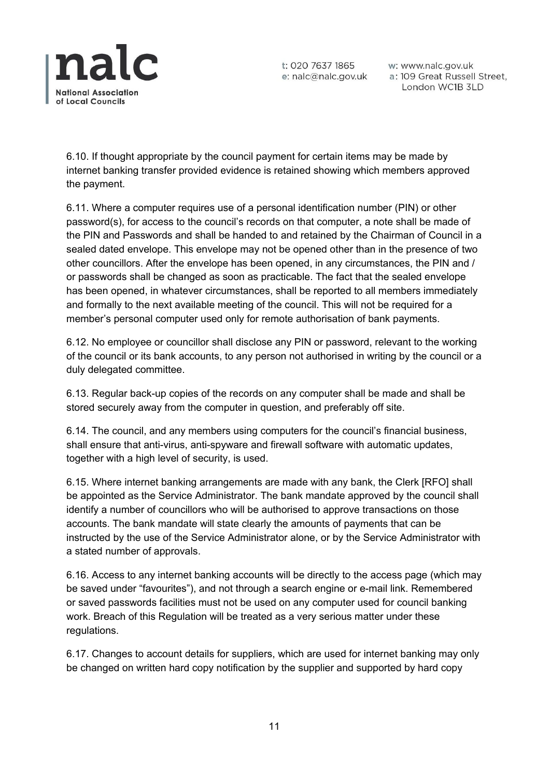

w: www.nalc.gov.uk a: 109 Great Russell Street, London WC1B 3LD

6.10. If thought appropriate by the council payment for certain items may be made by internet banking transfer provided evidence is retained showing which members approved the payment.

6.11. Where a computer requires use of a personal identification number (PIN) or other password(s), for access to the council's records on that computer, a note shall be made of the PIN and Passwords and shall be handed to and retained by the Chairman of Council in a sealed dated envelope. This envelope may not be opened other than in the presence of two other councillors. After the envelope has been opened, in any circumstances, the PIN and / or passwords shall be changed as soon as practicable. The fact that the sealed envelope has been opened, in whatever circumstances, shall be reported to all members immediately and formally to the next available meeting of the council. This will not be required for a member's personal computer used only for remote authorisation of bank payments.

6.12. No employee or councillor shall disclose any PIN or password, relevant to the working of the council or its bank accounts, to any person not authorised in writing by the council or a duly delegated committee.

6.13. Regular back-up copies of the records on any computer shall be made and shall be stored securely away from the computer in question, and preferably off site.

6.14. The council, and any members using computers for the council's financial business, shall ensure that anti-virus, anti-spyware and firewall software with automatic updates, together with a high level of security, is used.

6.15. Where internet banking arrangements are made with any bank, the Clerk [RFO] shall be appointed as the Service Administrator. The bank mandate approved by the council shall identify a number of councillors who will be authorised to approve transactions on those accounts. The bank mandate will state clearly the amounts of payments that can be instructed by the use of the Service Administrator alone, or by the Service Administrator with a stated number of approvals.

6.16. Access to any internet banking accounts will be directly to the access page (which may be saved under "favourites"), and not through a search engine or e-mail link. Remembered or saved passwords facilities must not be used on any computer used for council banking work. Breach of this Regulation will be treated as a very serious matter under these regulations.

6.17. Changes to account details for suppliers, which are used for internet banking may only be changed on written hard copy notification by the supplier and supported by hard copy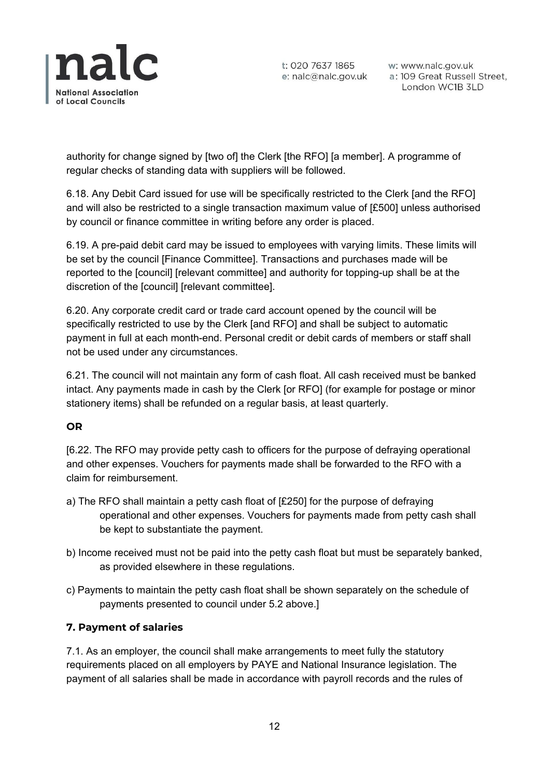

w: www.nalc.gov.uk a: 109 Great Russell Street, London WC1B 3LD

authority for change signed by [two of] the Clerk [the RFO] [a member]. A programme of regular checks of standing data with suppliers will be followed.

6.18. Any Debit Card issued for use will be specifically restricted to the Clerk [and the RFO] and will also be restricted to a single transaction maximum value of [£500] unless authorised by council or finance committee in writing before any order is placed.

6.19. A pre-paid debit card may be issued to employees with varying limits. These limits will be set by the council [Finance Committee]. Transactions and purchases made will be reported to the [council] [relevant committee] and authority for topping-up shall be at the discretion of the [council] [relevant committee].

6.20. Any corporate credit card or trade card account opened by the council will be specifically restricted to use by the Clerk [and RFO] and shall be subject to automatic payment in full at each month-end. Personal credit or debit cards of members or staff shall not be used under any circumstances.

6.21. The council will not maintain any form of cash float. All cash received must be banked intact. Any payments made in cash by the Clerk [or RFO] (for example for postage or minor stationery items) shall be refunded on a regular basis, at least quarterly.

#### **OR**

[6.22. The RFO may provide petty cash to officers for the purpose of defraying operational and other expenses. Vouchers for payments made shall be forwarded to the RFO with a claim for reimbursement.

- a) The RFO shall maintain a petty cash float of [£250] for the purpose of defraying operational and other expenses. Vouchers for payments made from petty cash shall be kept to substantiate the payment.
- b) Income received must not be paid into the petty cash float but must be separately banked, as provided elsewhere in these regulations.
- c) Payments to maintain the petty cash float shall be shown separately on the schedule of payments presented to council under 5.2 above.]

## **7. Payment of salaries**

7.1. As an employer, the council shall make arrangements to meet fully the statutory requirements placed on all employers by PAYE and National Insurance legislation. The payment of all salaries shall be made in accordance with payroll records and the rules of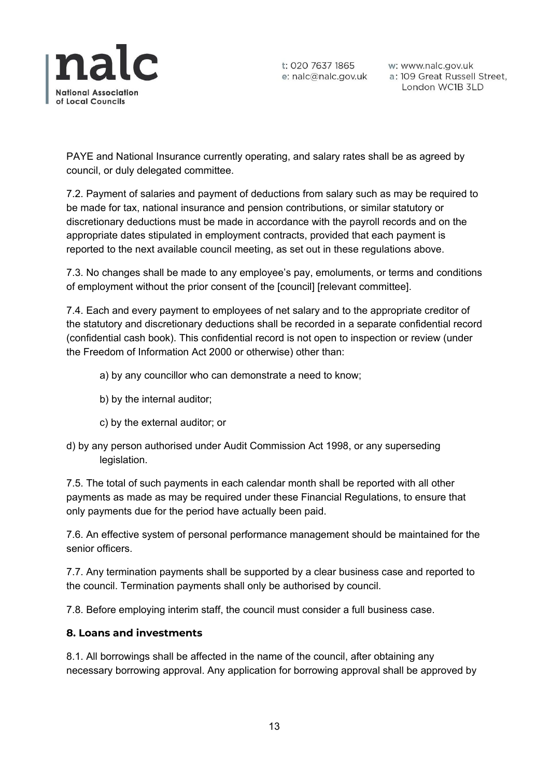

w: www.nalc.gov.uk a: 109 Great Russell Street, London WC1B 3LD

PAYE and National Insurance currently operating, and salary rates shall be as agreed by council, or duly delegated committee.

7.2. Payment of salaries and payment of deductions from salary such as may be required to be made for tax, national insurance and pension contributions, or similar statutory or discretionary deductions must be made in accordance with the payroll records and on the appropriate dates stipulated in employment contracts, provided that each payment is reported to the next available council meeting, as set out in these regulations above.

7.3. No changes shall be made to any employee's pay, emoluments, or terms and conditions of employment without the prior consent of the [council] [relevant committee].

7.4. Each and every payment to employees of net salary and to the appropriate creditor of the statutory and discretionary deductions shall be recorded in a separate confidential record (confidential cash book). This confidential record is not open to inspection or review (under the Freedom of Information Act 2000 or otherwise) other than:

- a) by any councillor who can demonstrate a need to know;
- b) by the internal auditor;
- c) by the external auditor; or
- d) by any person authorised under Audit Commission Act 1998, or any superseding legislation.

7.5. The total of such payments in each calendar month shall be reported with all other payments as made as may be required under these Financial Regulations, to ensure that only payments due for the period have actually been paid.

7.6. An effective system of personal performance management should be maintained for the senior officers.

7.7. Any termination payments shall be supported by a clear business case and reported to the council. Termination payments shall only be authorised by council.

7.8. Before employing interim staff, the council must consider a full business case.

#### **8. Loans and investments**

8.1. All borrowings shall be affected in the name of the council, after obtaining any necessary borrowing approval. Any application for borrowing approval shall be approved by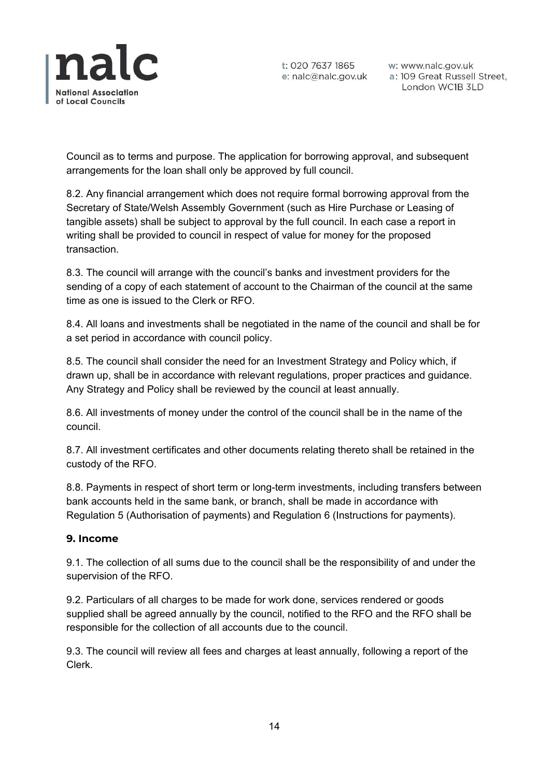

w: www.nalc.gov.uk a: 109 Great Russell Street, London WC1B 3LD

Council as to terms and purpose. The application for borrowing approval, and subsequent arrangements for the loan shall only be approved by full council.

8.2. Any financial arrangement which does not require formal borrowing approval from the Secretary of State/Welsh Assembly Government (such as Hire Purchase or Leasing of tangible assets) shall be subject to approval by the full council. In each case a report in writing shall be provided to council in respect of value for money for the proposed transaction.

8.3. The council will arrange with the council's banks and investment providers for the sending of a copy of each statement of account to the Chairman of the council at the same time as one is issued to the Clerk or RFO.

8.4. All loans and investments shall be negotiated in the name of the council and shall be for a set period in accordance with council policy.

8.5. The council shall consider the need for an Investment Strategy and Policy which, if drawn up, shall be in accordance with relevant regulations, proper practices and guidance. Any Strategy and Policy shall be reviewed by the council at least annually.

8.6. All investments of money under the control of the council shall be in the name of the council.

8.7. All investment certificates and other documents relating thereto shall be retained in the custody of the RFO.

8.8. Payments in respect of short term or long-term investments, including transfers between bank accounts held in the same bank, or branch, shall be made in accordance with Regulation 5 (Authorisation of payments) and Regulation 6 (Instructions for payments).

#### **9. Income**

9.1. The collection of all sums due to the council shall be the responsibility of and under the supervision of the RFO.

9.2. Particulars of all charges to be made for work done, services rendered or goods supplied shall be agreed annually by the council, notified to the RFO and the RFO shall be responsible for the collection of all accounts due to the council.

9.3. The council will review all fees and charges at least annually, following a report of the Clerk.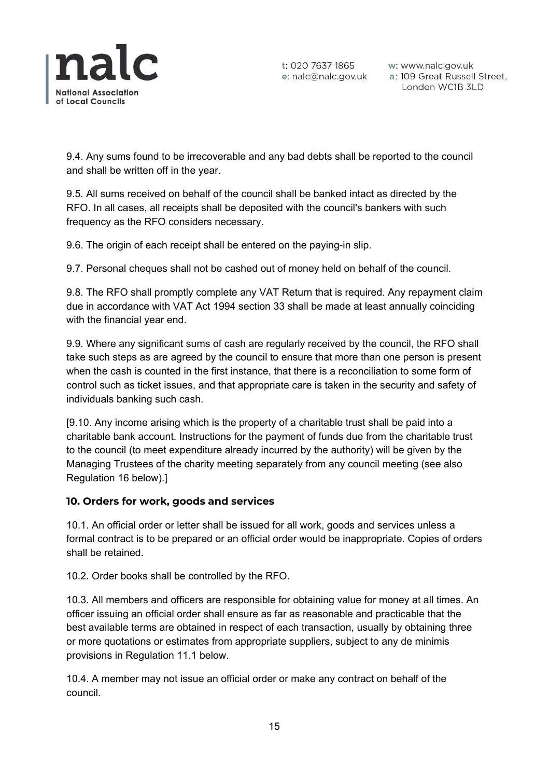

w: www.nalc.gov.uk a: 109 Great Russell Street, London WC1B 3LD

9.4. Any sums found to be irrecoverable and any bad debts shall be reported to the council and shall be written off in the year.

9.5. All sums received on behalf of the council shall be banked intact as directed by the RFO. In all cases, all receipts shall be deposited with the council's bankers with such frequency as the RFO considers necessary.

9.6. The origin of each receipt shall be entered on the paying-in slip.

9.7. Personal cheques shall not be cashed out of money held on behalf of the council.

9.8. The RFO shall promptly complete any VAT Return that is required. Any repayment claim due in accordance with VAT Act 1994 section 33 shall be made at least annually coinciding with the financial year end.

9.9. Where any significant sums of cash are regularly received by the council, the RFO shall take such steps as are agreed by the council to ensure that more than one person is present when the cash is counted in the first instance, that there is a reconciliation to some form of control such as ticket issues, and that appropriate care is taken in the security and safety of individuals banking such cash.

[9.10. Any income arising which is the property of a charitable trust shall be paid into a charitable bank account. Instructions for the payment of funds due from the charitable trust to the council (to meet expenditure already incurred by the authority) will be given by the Managing Trustees of the charity meeting separately from any council meeting (see also Regulation 16 below).]

#### **10. Orders for work, goods and services**

10.1. An official order or letter shall be issued for all work, goods and services unless a formal contract is to be prepared or an official order would be inappropriate. Copies of orders shall be retained.

10.2. Order books shall be controlled by the RFO.

10.3. All members and officers are responsible for obtaining value for money at all times. An officer issuing an official order shall ensure as far as reasonable and practicable that the best available terms are obtained in respect of each transaction, usually by obtaining three or more quotations or estimates from appropriate suppliers, subject to any de minimis provisions in Regulation 11.1 below.

10.4. A member may not issue an official order or make any contract on behalf of the council.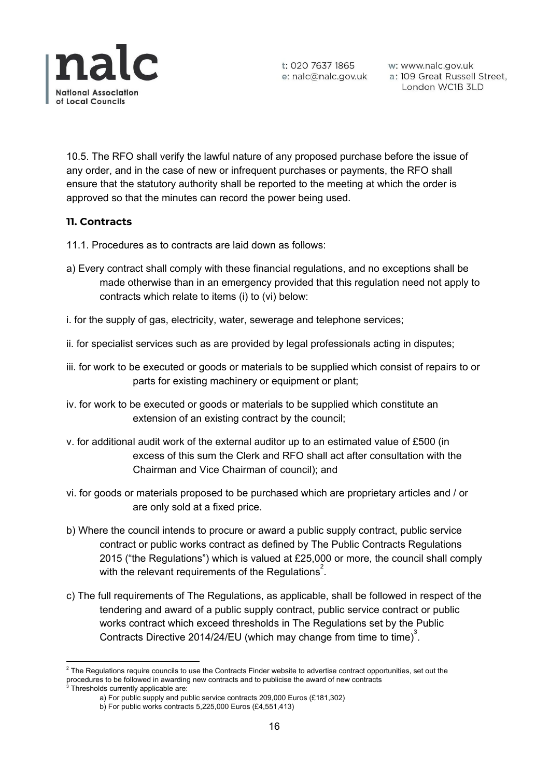

w: www.nalc.gov.uk a: 109 Great Russell Street, London WC1B 3LD

10.5. The RFO shall verify the lawful nature of any proposed purchase before the issue of any order, and in the case of new or infrequent purchases or payments, the RFO shall ensure that the statutory authority shall be reported to the meeting at which the order is approved so that the minutes can record the power being used.

#### **11. Contracts**

- 11.1. Procedures as to contracts are laid down as follows:
- a) Every contract shall comply with these financial regulations, and no exceptions shall be made otherwise than in an emergency provided that this regulation need not apply to contracts which relate to items (i) to (vi) below:
- i. for the supply of gas, electricity, water, sewerage and telephone services;
- ii. for specialist services such as are provided by legal professionals acting in disputes;
- iii. for work to be executed or goods or materials to be supplied which consist of repairs to or parts for existing machinery or equipment or plant;
- iv. for work to be executed or goods or materials to be supplied which constitute an extension of an existing contract by the council;
- v. for additional audit work of the external auditor up to an estimated value of £500 (in excess of this sum the Clerk and RFO shall act after consultation with the Chairman and Vice Chairman of council); and
- vi. for goods or materials proposed to be purchased which are proprietary articles and / or are only sold at a fixed price.
- b) Where the council intends to procure or award a public supply contract, public service contract or public works contract as defined by The Public Contracts Regulations 2015 ("the Regulations") which is valued at £25,000 or more, the council shall comply with the relevant requirements of the Regulations<sup>2</sup>.
- c) The full requirements of The Regulations, as applicable, shall be followed in respect of the tendering and award of a public supply contract, public service contract or public works contract which exceed thresholds in The Regulations set by the Public Contracts Directive 2014/24/EU (which may change from time to time)<sup>3</sup>.

 $2$  The Regulations require councils to use the Contracts Finder website to advertise contract opportunities, set out the procedures to be followed in awarding new contracts and to publicise the award of new contracts

 $3$  Thresholds currently applicable are:

a) For public supply and public service contracts 209,000 Euros (£181,302)

b) For public works contracts 5,225,000 Euros (£4,551,413)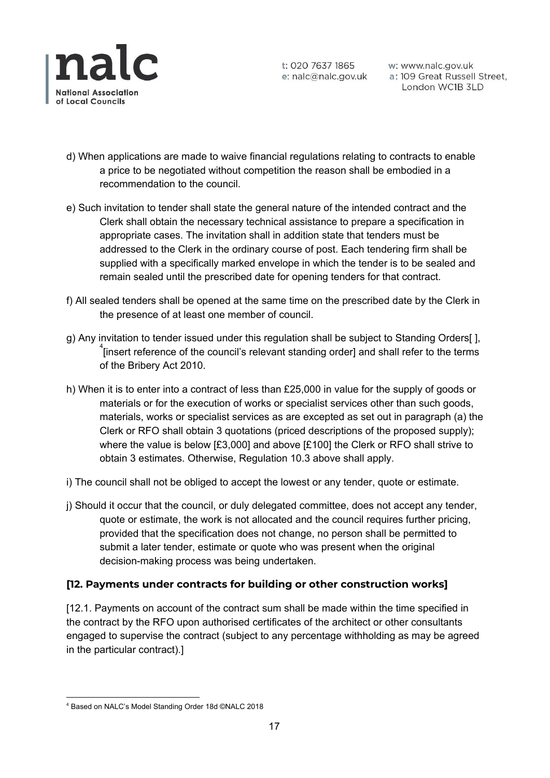

w: www.nalc.gov.uk a: 109 Great Russell Street, London WC1B 3LD

- d) When applications are made to waive financial regulations relating to contracts to enable a price to be negotiated without competition the reason shall be embodied in a recommendation to the council.
- e) Such invitation to tender shall state the general nature of the intended contract and the Clerk shall obtain the necessary technical assistance to prepare a specification in appropriate cases. The invitation shall in addition state that tenders must be addressed to the Clerk in the ordinary course of post. Each tendering firm shall be supplied with a specifically marked envelope in which the tender is to be sealed and remain sealed until the prescribed date for opening tenders for that contract.
- f) All sealed tenders shall be opened at the same time on the prescribed date by the Clerk in the presence of at least one member of council.
- g) Any invitation to tender issued under this regulation shall be subject to Standing Orders[ ],  $\frac{4}{1}$ [insert reference of the council's relevant standing order] and shall refer to the terms of the Bribery Act 2010.
- h) When it is to enter into a contract of less than £25,000 in value for the supply of goods or materials or for the execution of works or specialist services other than such goods, materials, works or specialist services as are excepted as set out in paragraph (a) the Clerk or RFO shall obtain 3 quotations (priced descriptions of the proposed supply); where the value is below [£3,000] and above [£100] the Clerk or RFO shall strive to obtain 3 estimates. Otherwise, Regulation 10.3 above shall apply.
- i) The council shall not be obliged to accept the lowest or any tender, quote or estimate.
- j) Should it occur that the council, or duly delegated committee, does not accept any tender, quote or estimate, the work is not allocated and the council requires further pricing, provided that the specification does not change, no person shall be permitted to submit a later tender, estimate or quote who was present when the original decision-making process was being undertaken.

#### **[12. Payments under contracts for building or other construction works]**

[12.1. Payments on account of the contract sum shall be made within the time specified in the contract by the RFO upon authorised certificates of the architect or other consultants engaged to supervise the contract (subject to any percentage withholding as may be agreed in the particular contract).]

<sup>4</sup> Based on NALC's Model Standing Order 18d ©NALC 2018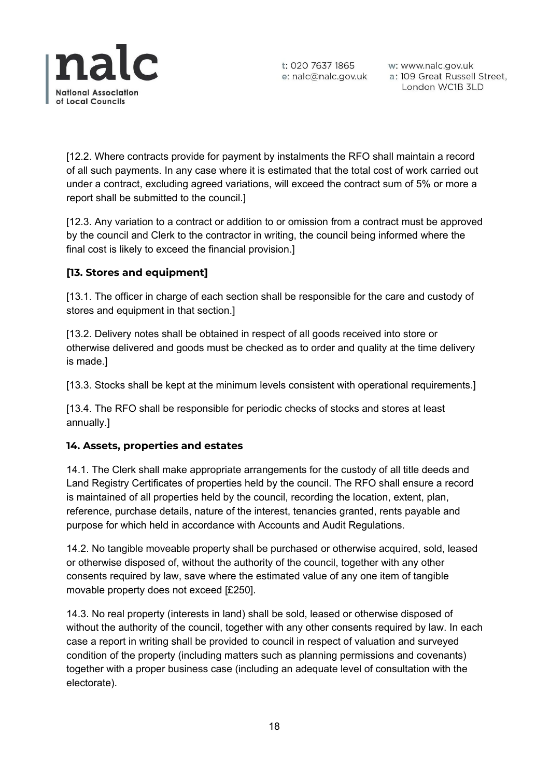

w: www.nalc.gov.uk a: 109 Great Russell Street, London WC1B 3LD

[12.2. Where contracts provide for payment by instalments the RFO shall maintain a record of all such payments. In any case where it is estimated that the total cost of work carried out under a contract, excluding agreed variations, will exceed the contract sum of 5% or more a report shall be submitted to the council.]

[12.3. Any variation to a contract or addition to or omission from a contract must be approved by the council and Clerk to the contractor in writing, the council being informed where the final cost is likely to exceed the financial provision.]

## **[13. Stores and equipment]**

[13.1. The officer in charge of each section shall be responsible for the care and custody of stores and equipment in that section.]

[13.2. Delivery notes shall be obtained in respect of all goods received into store or otherwise delivered and goods must be checked as to order and quality at the time delivery is made.]

[13.3. Stocks shall be kept at the minimum levels consistent with operational requirements.]

[13.4. The RFO shall be responsible for periodic checks of stocks and stores at least annually.]

#### **14. Assets, properties and estates**

14.1. The Clerk shall make appropriate arrangements for the custody of all title deeds and Land Registry Certificates of properties held by the council. The RFO shall ensure a record is maintained of all properties held by the council, recording the location, extent, plan, reference, purchase details, nature of the interest, tenancies granted, rents payable and purpose for which held in accordance with Accounts and Audit Regulations.

14.2. No tangible moveable property shall be purchased or otherwise acquired, sold, leased or otherwise disposed of, without the authority of the council, together with any other consents required by law, save where the estimated value of any one item of tangible movable property does not exceed [£250].

14.3. No real property (interests in land) shall be sold, leased or otherwise disposed of without the authority of the council, together with any other consents required by law. In each case a report in writing shall be provided to council in respect of valuation and surveyed condition of the property (including matters such as planning permissions and covenants) together with a proper business case (including an adequate level of consultation with the electorate).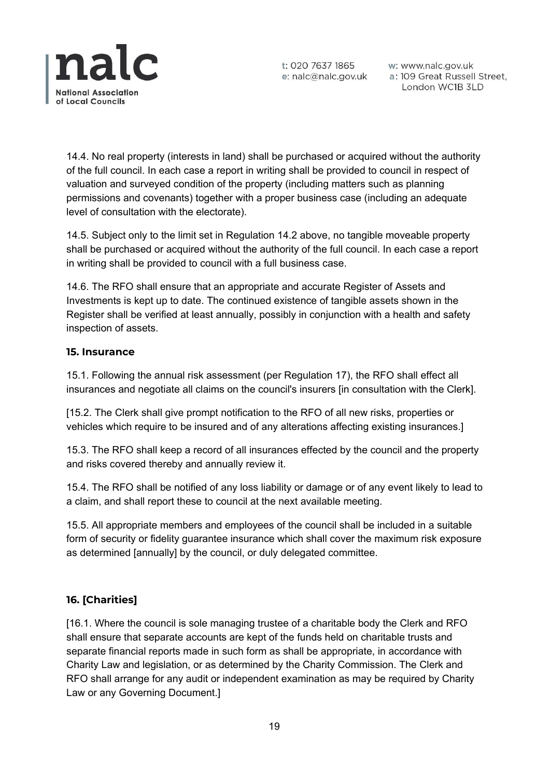

w: www.nalc.gov.uk a: 109 Great Russell Street, London WC1B 3LD

14.4. No real property (interests in land) shall be purchased or acquired without the authority of the full council. In each case a report in writing shall be provided to council in respect of valuation and surveyed condition of the property (including matters such as planning permissions and covenants) together with a proper business case (including an adequate level of consultation with the electorate).

14.5. Subject only to the limit set in Regulation 14.2 above, no tangible moveable property shall be purchased or acquired without the authority of the full council. In each case a report in writing shall be provided to council with a full business case.

14.6. The RFO shall ensure that an appropriate and accurate Register of Assets and Investments is kept up to date. The continued existence of tangible assets shown in the Register shall be verified at least annually, possibly in conjunction with a health and safety inspection of assets.

#### **15. Insurance**

15.1. Following the annual risk assessment (per Regulation 17), the RFO shall effect all insurances and negotiate all claims on the council's insurers [in consultation with the Clerk].

[15.2. The Clerk shall give prompt notification to the RFO of all new risks, properties or vehicles which require to be insured and of any alterations affecting existing insurances.]

15.3. The RFO shall keep a record of all insurances effected by the council and the property and risks covered thereby and annually review it.

15.4. The RFO shall be notified of any loss liability or damage or of any event likely to lead to a claim, and shall report these to council at the next available meeting.

15.5. All appropriate members and employees of the council shall be included in a suitable form of security or fidelity guarantee insurance which shall cover the maximum risk exposure as determined [annually] by the council, or duly delegated committee.

## **16. [Charities]**

[16.1. Where the council is sole managing trustee of a charitable body the Clerk and RFO shall ensure that separate accounts are kept of the funds held on charitable trusts and separate financial reports made in such form as shall be appropriate, in accordance with Charity Law and legislation, or as determined by the Charity Commission. The Clerk and RFO shall arrange for any audit or independent examination as may be required by Charity Law or any Governing Document.]